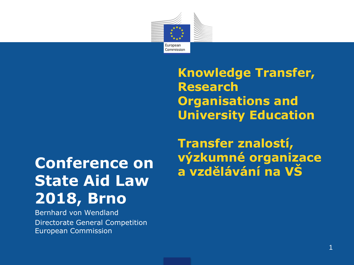

**Knowledge Transfer, Research Organisations and University Education**

# **State Aid Law 2018, Brno**

Bernhard von Wendland Directorate General Competition European Commission

**Transfer znalostí, výzkumné organizace Conference on vyzkumné organizá<br>
<b>a** vzdělávání na VŠ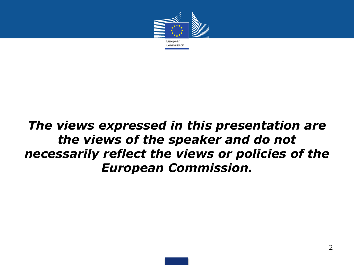

# *The views expressed in this presentation are the views of the speaker and do not necessarily reflect the views or policies of the European Commission.*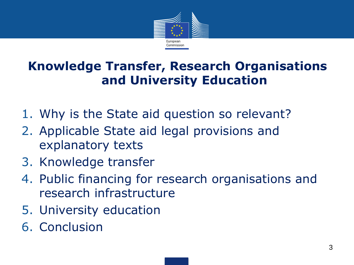

# **Knowledge Transfer, Research Organisations and University Education**

- 1. Why is the State aid question so relevant?
- 2. Applicable State aid legal provisions and explanatory texts
- 3. Knowledge transfer
- 4. Public financing for research organisations and research infrastructure
- 5. University education
- 6. Conclusion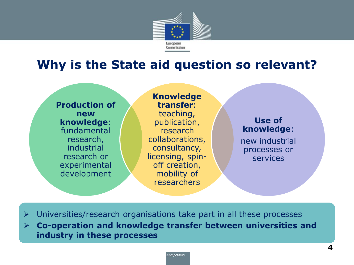

## **Why is the State aid question so relevant?**



**Knowledge transfer**: teaching, publication, research collaborations, consultancy, licensing, spinoff creation, mobility of researchers

#### **Use of knowledge**:

new industrial processes or services

- $\triangleright$  Universities/research organisations take part in all these processes
- **Co-operation and knowledge transfer between universities and industry in these processes**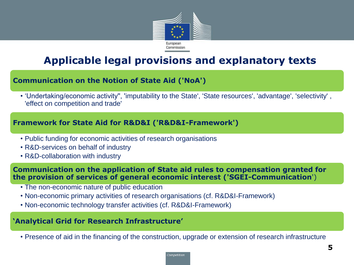

## **Applicable legal provisions and explanatory texts**

#### **Communication on the Notion of State Aid ('NoA')**

• 'Undertaking/economic activity'', 'imputability to the State', 'State resources', 'advantage', 'selectivity' , 'effect on competition and trade'

#### **Framework for State Aid for R&D&I ('R&D&I-Framework')**

- Public funding for economic activities of research organisations
- R&D-services on behalf of industry
- R&D-collaboration with industry

**Communication on the application of State aid rules to compensation granted for the provision of services of general economic interest ('SGEI-Communication**')

- The non-economic nature of public education
- Non-economic primary activities of research organisations (cf. R&D&I-Framework)
- Non-economic technology transfer activities (cf. R&D&I-Framework)

#### **'Analytical Grid for Research Infrastructure'**

• Presence of aid in the financing of the construction, upgrade or extension of research infrastructure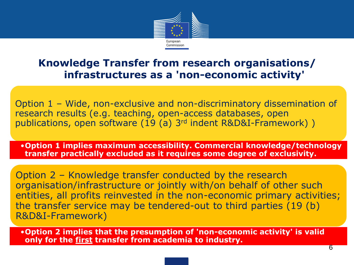

### **Knowledge Transfer from research organisations/ infrastructures as a 'non-economic activity'**

Option 1 – Wide, non-exclusive and non-discriminatory dissemination of research results (e.g. teaching, open-access databases, open publications, open software (19 (a) 3rd indent R&D&I-Framework) )

•**Option 1 implies maximum accessibility. Commercial knowledge/technology transfer practically excluded as it requires some degree of exclusivity.**

Option 2 – Knowledge transfer conducted by the research organisation/infrastructure or jointly with/on behalf of other such entities, all profits reinvested in the non-economic primary activities; the transfer service may be tendered-out to third parties (19 (b) R&D&I-Framework)

•**Option 2 implies that the presumption of 'non-economic activity' is valid only for the first transfer from academia to industry.**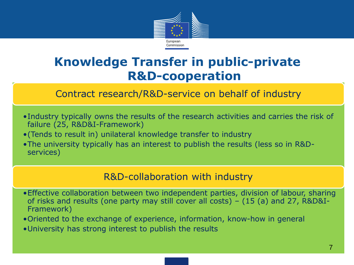

# **Knowledge Transfer in public-private R&D-cooperation**

Contract research/R&D-service on behalf of industry

- •Industry typically owns the results of the research activities and carries the risk of failure (25, R&D&I-Framework)
- •(Tends to result in) unilateral knowledge transfer to industry
- •The university typically has an interest to publish the results (less so in R&Dservices)

#### R&D-collaboration with industry

- •Effective collaboration between two independent parties, division of labour, sharing of risks and results (one party may still cover all costs) – (15 (a) and 27, R&D&I-Framework)
- •Oriented to the exchange of experience, information, know-how in general
- •University has strong interest to publish the results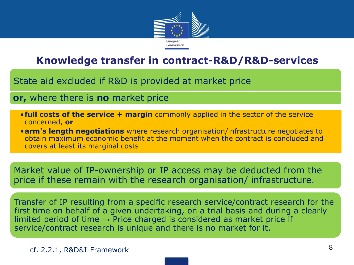

## **Knowledge transfer in contract-R&D/R&D-services**

State aid excluded if R&D is provided at market price

#### **or,** where there is **no** market price

- •**full costs of the service + margin** commonly applied in the sector of the service concerned, **or**
- •**arm's length negotiations** where research organisation/infrastructure negotiates to obtain maximum economic benefit at the moment when the contract is concluded and covers at least its marginal costs

Market value of IP-ownership or IP access may be deducted from the price if these remain with the research organisation/ infrastructure.

Transfer of IP resulting from a specific research service/contract research for the first time on behalf of a given undertaking, on a trial basis and during a clearly limited period of time  $\rightarrow$  Price charged is considered as market price if service/contract research is unique and there is no market for it.

cf. 2.2.1, R&D&I-Framework 8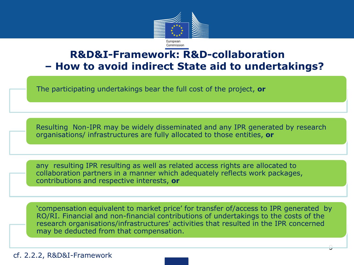

## **R&D&I-Framework: R&D-collaboration – How to avoid indirect State aid to undertakings?**

The participating undertakings bear the full cost of the project, **or**

Resulting Non-IPR may be widely disseminated and any IPR generated by research organisations/ infrastructures are fully allocated to those entities, **or**

any resulting IPR resulting as well as related access rights are allocated to collaboration partners in a manner which adequately reflects work packages, contributions and respective interests, **or**

'compensation equivalent to market price' for transfer of/access to IPR generated by RO/RI. Financial and non-financial contributions of undertakings to the costs of the research organisations/infrastructures' activities that resulted in the IPR concerned may be deducted from that compensation.

cf. 2.2.2, R&D&I-Framework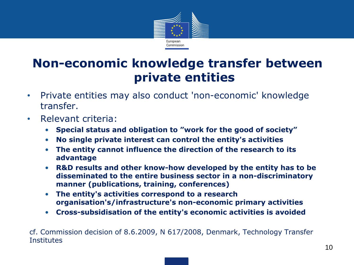

# **Non-economic knowledge transfer between private entities**

- Private entities may also conduct 'non-economic' knowledge transfer.
- Relevant criteria:
	- **Special status and obligation to "work for the good of society"**
	- **No single private interest can control the entity's activities**
	- **The entity cannot influence the direction of the research to its advantage**
	- **R&D results and other know-how developed by the entity has to be disseminated to the entire business sector in a non-discriminatory manner (publications, training, conferences)**
	- **The entity's activities correspond to a research organisation's/infrastructure's non-economic primary activities**
	- **Cross-subsidisation of the entity's economic activities is avoided**

cf. Commission decision of 8.6.2009, N 617/2008, Denmark, Technology Transfer **Institutes**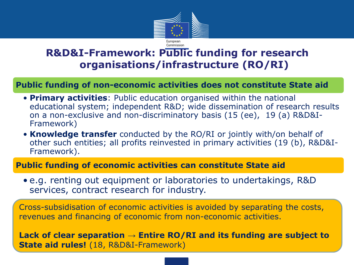

## **R&D&I-Framework: Public funding for research organisations/infrastructure (RO/RI)**

#### **Public funding of non-economic activities does not constitute State aid**

- **Primary activities**: Public education organised within the national educational system; independent R&D; wide dissemination of research results on a non-exclusive and non-discriminatory basis (15 (ee), 19 (a) R&D&I-Framework)
- **Knowledge transfer** conducted by the RO/RI or jointly with/on behalf of other such entities; all profits reinvested in primary activities (19 (b), R&D&I-Framework).

#### **Public funding of economic activities can constitute State aid**

• e.g. renting out equipment or laboratories to undertakings, R&D services, contract research for industry.

Cross-subsidisation of economic activities is avoided by separating the costs, revenues and financing of economic from non-economic activities.

**Lack of clear separation → Entire RO/RI and its funding are subject to State aid rules!** (18, R&D&I-Framework)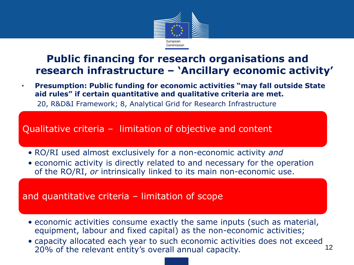

• **Presumption: Public funding for economic activities "may fall outside State aid rules" if certain quantitative and qualitative criteria are met.**

20, R&D&I Framework; 8, Analytical Grid for Research Infrastructure

Qualitative criteria – limitation of objective and content

- RO/RI used almost exclusively for a non-economic activity *and*
- economic activity is directly related to and necessary for the operation of the RO/RI, *or* intrinsically linked to its main non-economic use.

#### and quantitative criteria – limitation of scope

- economic activities consume exactly the same inputs (such as material, equipment, labour and fixed capital) as the non-economic activities;
- capacity allocated each year to such economic activities does not exceed<br>2006 of the relevant entity's everall annual canacity. 20% of the relevant entity's overall annual capacity.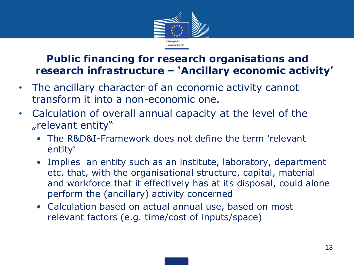

- The ancillary character of an economic activity cannot transform it into a non-economic one.
- Calculation of overall annual capacity at the level of the "relevant entity"
	- The R&D&I-Framework does not define the term 'relevant entity'
	- Implies an entity such as an institute, laboratory, department etc. that, with the organisational structure, capital, material and workforce that it effectively has at its disposal, could alone perform the (ancillary) activity concerned
	- Calculation based on actual annual use, based on most relevant factors (e.g. time/cost of inputs/space)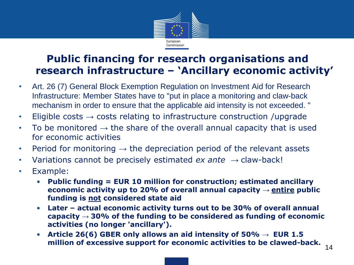

- Art. 26 (7) General Block Exemption Regulation on Investment Aid for Research Infrastructure: Member States have to "put in place a monitoring and claw-back mechanism in order to ensure that the applicable aid intensity is not exceeded. "
- Eligible costs  $\rightarrow$  costs relating to infrastructure construction /upgrade
- To be monitored  $\rightarrow$  the share of the overall annual capacity that is used for economic activities
- Period for monitoring  $\rightarrow$  the depreciation period of the relevant assets
- Variations cannot be precisely estimated *ex ante* → claw-back!
- Example:
	- **Public funding = EUR 10 million for construction; estimated ancillary economic activity up to 20% of overall annual capacity → entire public funding is not considered state aid**
	- **Later – actual economic activity turns out to be 30% of overall annual capacity → 30% of the funding to be considered as funding of economic activities (no longer 'ancillary').**
	- Article 26(6) GBER only allows an aid intensity of  $50\% \rightarrow$  EUR 1.5 **million of excessive support for economic activities to be clawed-back.** <sup>14</sup>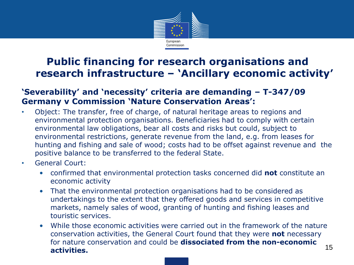

#### **'Severability' and 'necessity' criteria are demanding – T-347/09 Germany v Commission 'Nature Conservation Areas':**

- Object: The transfer, free of charge, of natural heritage areas to regions and environmental protection organisations. Beneficiaries had to comply with certain environmental law obligations, bear all costs and risks but could, subject to environmental restrictions, generate revenue from the land, e.g. from leases for hunting and fishing and sale of wood; costs had to be offset against revenue and the positive balance to be transferred to the federal State.
- General Court:
	- confirmed that environmental protection tasks concerned did **not** constitute an economic activity
	- That the environmental protection organisations had to be considered as undertakings to the extent that they offered goods and services in competitive markets, namely sales of wood, granting of hunting and fishing leases and touristic services.
	- While those economic activities were carried out in the framework of the nature conservation activities, the General Court found that they were **not** necessary for nature conservation and could be **dissociated from the non-economic activities.** 15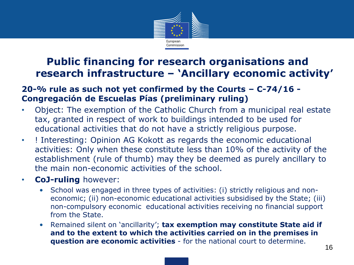

#### **20-% rule as such not yet confirmed by the Courts – C-74/16 - Congregación de Escuelas Pías (preliminary ruling)**

- Object: The exemption of the Catholic Church from a municipal real estate tax, granted in respect of work to buildings intended to be used for educational activities that do not have a strictly religious purpose.
- ! Interesting: Opinion AG Kokott as regards the economic educational activities: Only when these constitute less than 10% of the activity of the establishment (rule of thumb) may they be deemed as purely ancillary to the main non-economic activities of the school.
- **CoJ-ruling** however:
	- School was engaged in three types of activities: (i) strictly religious and noneconomic; (ii) non-economic educational activities subsidised by the State; (iii) non-compulsory economic educational activities receiving no financial support from the State.
	- Remained silent on 'ancillarity'; **tax exemption may constitute State aid if and to the extent to which the activities carried on in the premises in question are economic activities** - for the national court to determine.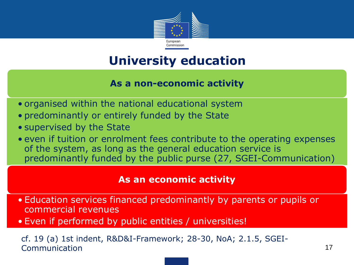

# **University education**

#### **As a non-economic activity**

- organised within the national educational system
- predominantly or entirely funded by the State
- supervised by the State
- even if tuition or enrolment fees contribute to the operating expenses of the system, as long as the general education service is predominantly funded by the public purse (27, SGEI-Communication)

#### **As an economic activity**

- Education services financed predominantly by parents or pupils or commercial revenues
- Even if performed by public entities / universities!

cf. 19 (a) 1st indent, R&D&I-Framework; 28-30, NoA; 2.1.5, SGEI-Communication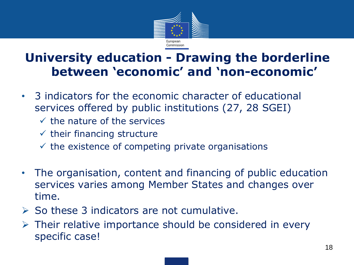

# **University education - Drawing the borderline between 'economic' and 'non-economic'**

- 3 indicators for the economic character of educational services offered by public institutions (27, 28 SGEI)
	- $\checkmark$  the nature of the services
	- $\checkmark$  their financing structure
	- $\checkmark$  the existence of competing private organisations
- The organisation, content and financing of public education services varies among Member States and changes over time.
- $\triangleright$  So these 3 indicators are not cumulative.
- $\triangleright$  Their relative importance should be considered in every specific case!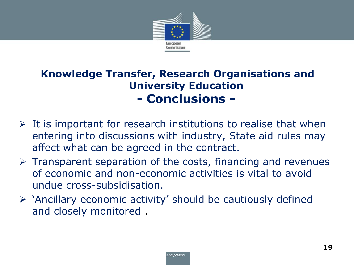

## **Knowledge Transfer, Research Organisations and University Education - Conclusions -**

- $\triangleright$  It is important for research institutions to realise that when entering into discussions with industry, State aid rules may affect what can be agreed in the contract.
- $\triangleright$  Transparent separation of the costs, financing and revenues of economic and non-economic activities is vital to avoid undue cross-subsidisation.
- $\triangleright$  'Ancillary economic activity' should be cautiously defined and closely monitored .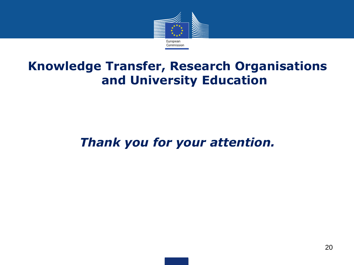

# **Knowledge Transfer, Research Organisations and University Education**

# *Thank you for your attention.*